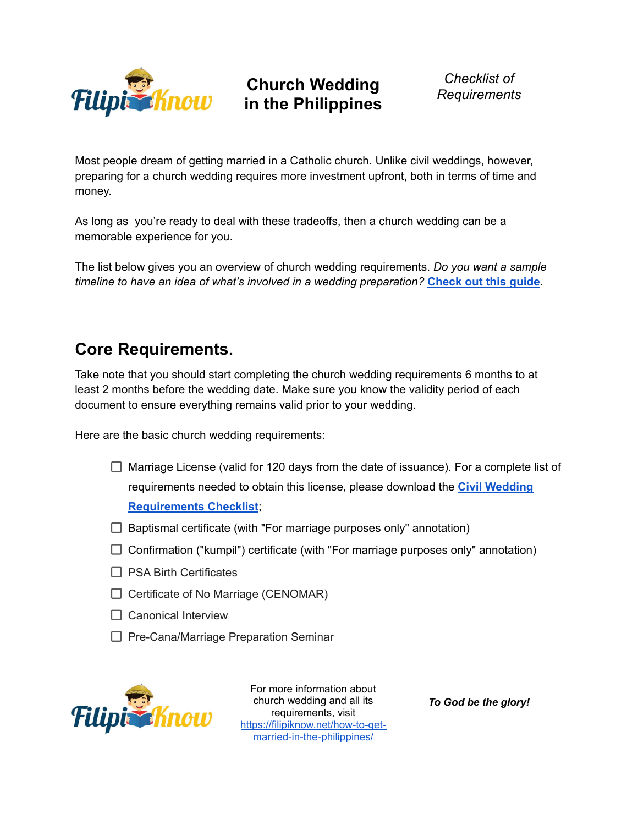

**Church Wedding in the Philippines**

*Checklist of Requirements*

Most people dream of getting married in a Catholic church. Unlike civil weddings, however, preparing for a church wedding requires more investment upfront, both in terms of time and money.

As long as you're ready to deal with these tradeoffs, then a church wedding can be a memorable experience for you.

The list below gives you an overview of church wedding requirements. *Do you want a sample timeline to have an idea of what's involved in a wedding preparation?* **[Check](https://filipiknow.net/church-wedding-checklist-philippines/) out this guide**.

## **Core Requirements.**

Take note that you should start completing the church wedding requirements 6 months to at least 2 months before the wedding date. Make sure you know the validity period of each document to ensure everything remains valid prior to your wedding.

Here are the basic church wedding requirements:

- $\Box$  Marriage License (valid for 120 days from the date of issuance). For a complete list of requirements needed to obtain this license, please download the **Civil [Wedding](https://filipiknow.net/wp-content/uploads/2021/06/Civil-Wedding-Requirements-Checklist.pdf) [Requirements](https://filipiknow.net/wp-content/uploads/2021/06/Civil-Wedding-Requirements-Checklist.pdf) Checklist**;
- $\Box$  Baptismal certificate (with "For marriage purposes only" annotation)
- $\Box$  Confirmation ("kumpil") certificate (with "For marriage purposes only" annotation)
- $\Box$  PSA Birth Certificates
- $\Box$  Certificate of No Marriage (CENOMAR)
- $\Box$  Canonical Interview
- $\Box$  Pre-Cana/Marriage Preparation Seminar



For more information about church wedding and all its requirements, visit [https://filipiknow.net/how-to-get](https://filipiknow.net/how-to-get-married-in-the-philippines/)[married-in-the-philippines/](https://filipiknow.net/how-to-get-married-in-the-philippines/)

*To God be the glory!*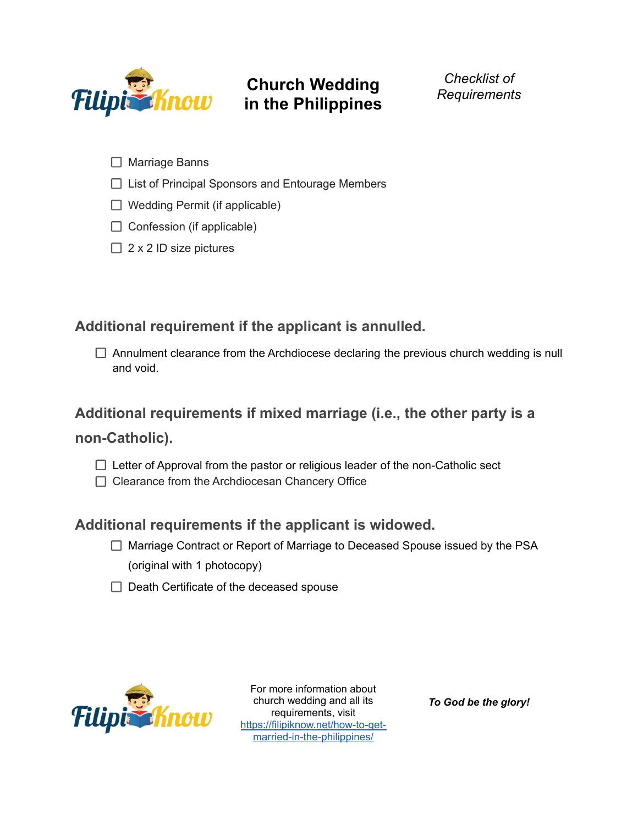

# **Church Wedding in the Philippines**

*Checklist of Requirements*

- □ Marriage Banns
- $\Box$  List of Principal Sponsors and Entourage Members
- $\Box$  Wedding Permit (if applicable)
- $\Box$  Confession (if applicable)
- $\Box$  2 x 2 ID size pictures

## **Additional requirement if the applicant is annulled.**

 $\Box$  Annulment clearance from the Archdiocese declaring the previous church wedding is null and void.

#### **Additional requirements if mixed marriage (i.e., the other party is a**

#### **non-Catholic).**

- $\Box$  Letter of Approval from the pastor or religious leader of the non-Catholic sect
- □ Clearance from the Archdiocesan Chancery Office

### **Additional requirements if the applicant is widowed.**

- □ Marriage Contract or Report of Marriage to Deceased Spouse issued by the PSA (original with 1 photocopy)
- $\Box$  Death Certificate of the deceased spouse



For more information about church wedding and all its requirements, visit [https://filipiknow.net/how-to-get](https://filipiknow.net/how-to-get-married-in-the-philippines/)[married-in-the-philippines/](https://filipiknow.net/how-to-get-married-in-the-philippines/)

*To God be the glory!*